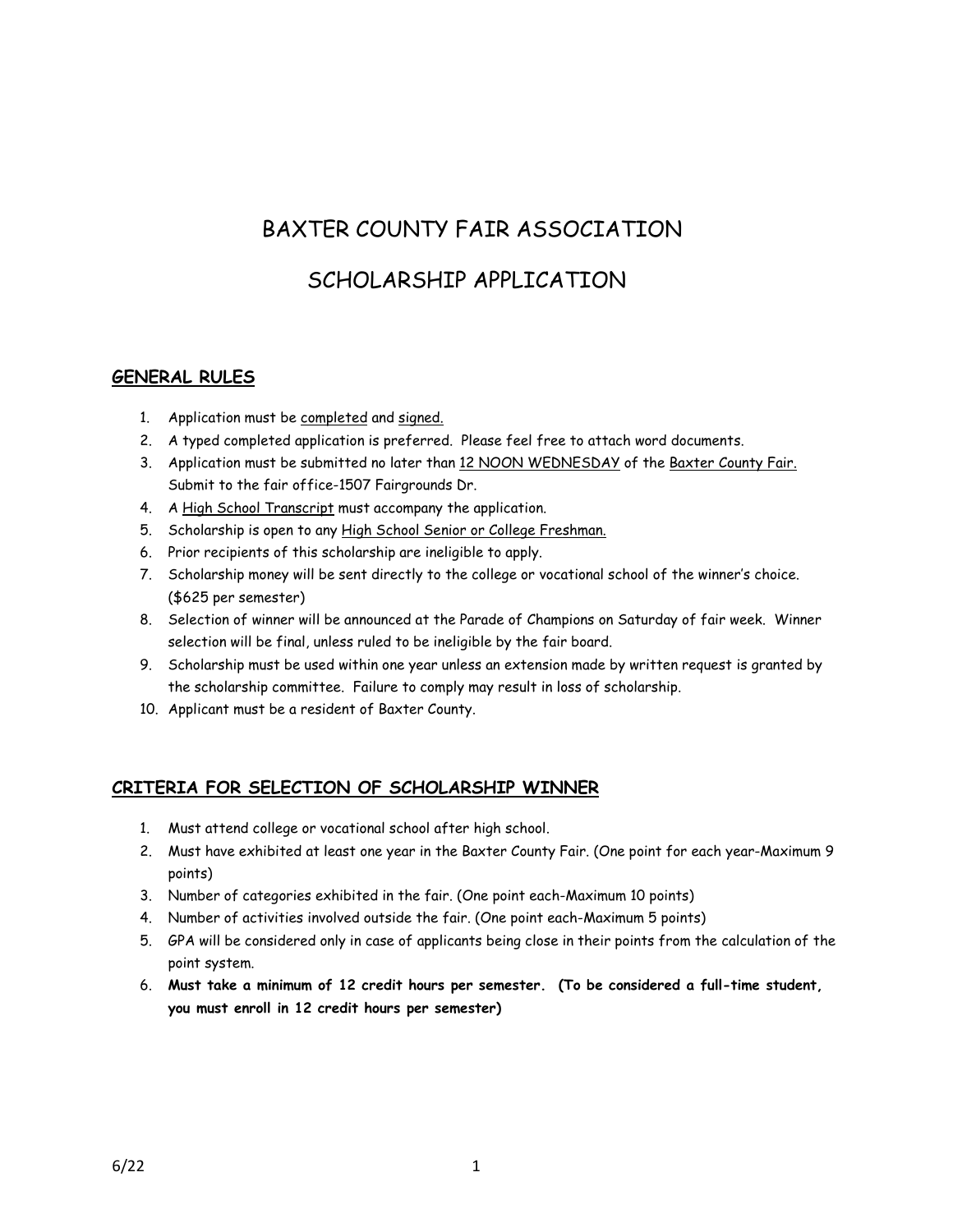# BAXTER COUNTY FAIR ASSOCIATION

## SCHOLARSHIP APPLICATION

#### **GENERAL RULES**

- 1. Application must be completed and signed.
- 2. A typed completed application is preferred. Please feel free to attach word documents.
- 3. Application must be submitted no later than 12 NOON WEDNESDAY of the Baxter County Fair. Submit to the fair office-1507 Fairgrounds Dr.
- 4. A High School Transcript must accompany the application.
- 5. Scholarship is open to any High School Senior or College Freshman.
- 6. Prior recipients of this scholarship are ineligible to apply.
- 7. Scholarship money will be sent directly to the college or vocational school of the winner's choice. (\$625 per semester)
- 8. Selection of winner will be announced at the Parade of Champions on Saturday of fair week. Winner selection will be final, unless ruled to be ineligible by the fair board.
- 9. Scholarship must be used within one year unless an extension made by written request is granted by the scholarship committee. Failure to comply may result in loss of scholarship.
- 10. Applicant must be a resident of Baxter County.

### **CRITERIA FOR SELECTION OF SCHOLARSHIP WINNER**

- 1. Must attend college or vocational school after high school.
- 2. Must have exhibited at least one year in the Baxter County Fair. (One point for each year-Maximum 9 points)
- 3. Number of categories exhibited in the fair. (One point each-Maximum 10 points)
- 4. Number of activities involved outside the fair. (One point each-Maximum 5 points)
- 5. GPA will be considered only in case of applicants being close in their points from the calculation of the point system.
- 6. **Must take a minimum of 12 credit hours per semester. (To be considered a full-time student, you must enroll in 12 credit hours per semester)**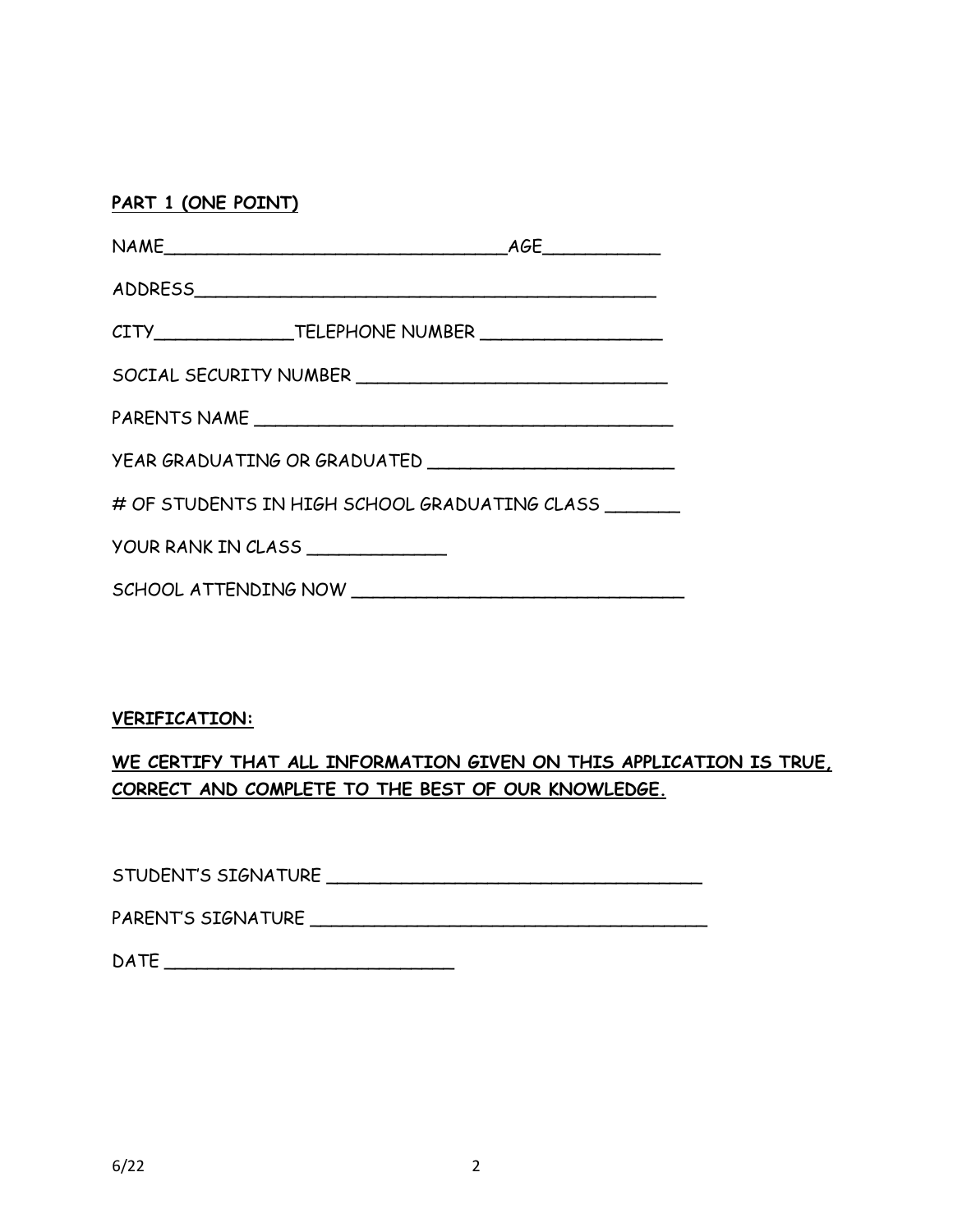## **PART 1 (ONE POINT)**

| SOCIAL SECURITY NUMBER                        |  |  |  |  |
|-----------------------------------------------|--|--|--|--|
|                                               |  |  |  |  |
| YEAR GRADUATING OR GRADUATED                  |  |  |  |  |
| # OF STUDENTS IN HIGH SCHOOL GRADUATING CLASS |  |  |  |  |
| YOUR RANK IN CLASS ______________             |  |  |  |  |
|                                               |  |  |  |  |

## **VERIFICATION:**

## **WE CERTIFY THAT ALL INFORMATION GIVEN ON THIS APPLICATION IS TRUE, CORRECT AND COMPLETE TO THE BEST OF OUR KNOWLEDGE.**

STUDENT'S SIGNATURE \_\_\_\_\_\_\_\_\_\_\_\_\_\_\_\_\_\_\_\_\_\_\_\_\_\_\_\_\_\_\_\_\_\_\_

PARENT'S SIGNATURE \_\_\_\_\_\_\_\_\_\_\_\_\_\_\_\_\_\_\_\_\_\_\_\_\_\_\_\_\_\_\_\_\_\_\_\_\_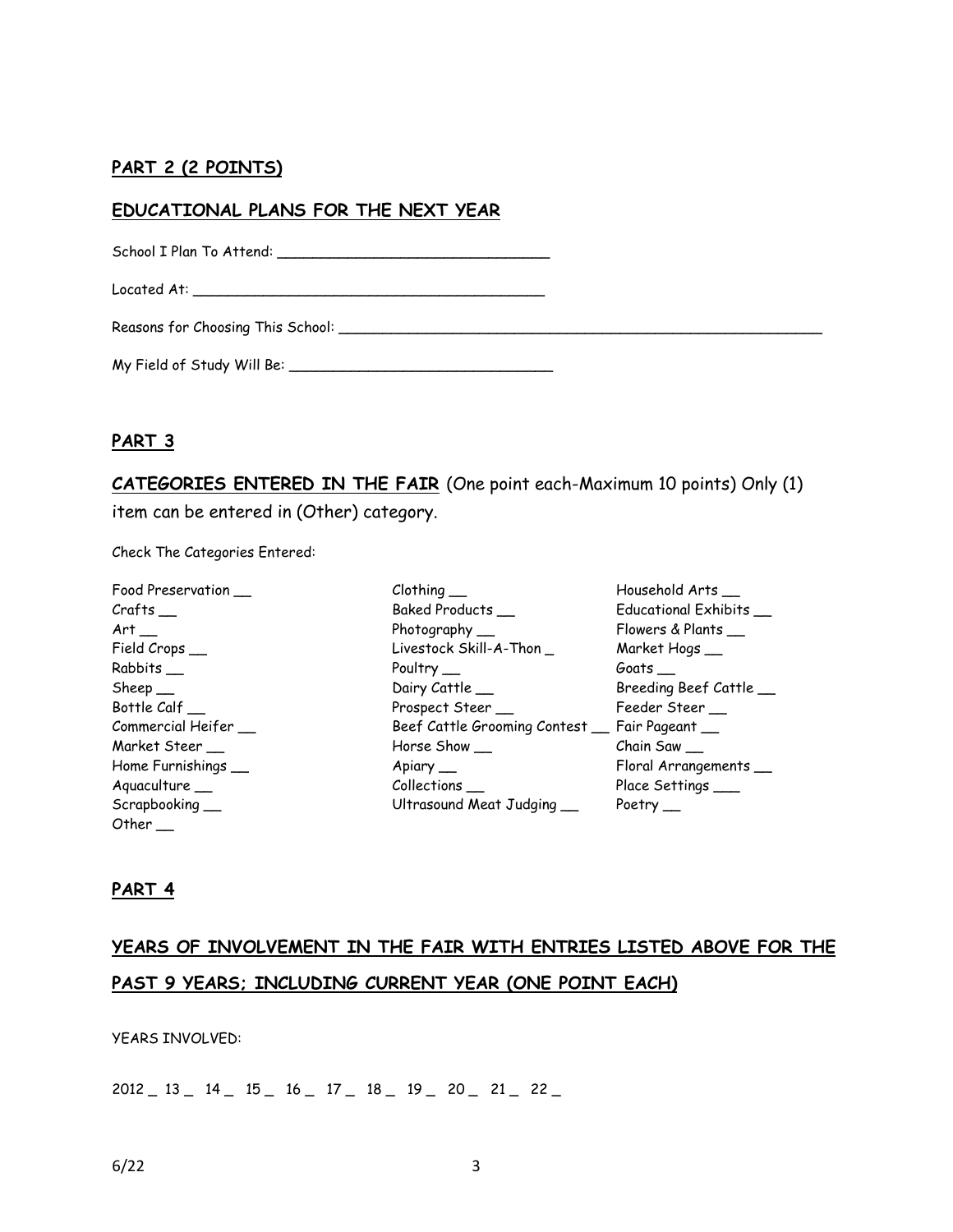## **PART 2 (2 POINTS)**

#### **EDUCATIONAL PLANS FOR THE NEXT YEAR**

School I Plan To Attend: \_\_\_\_\_\_\_\_\_\_\_\_\_\_\_\_\_\_\_\_\_\_\_\_\_\_\_\_\_\_\_

Located At: \_\_\_\_\_\_\_\_\_\_\_\_\_\_\_\_\_\_\_\_\_\_\_\_\_\_\_\_\_\_\_\_\_\_\_\_\_\_\_\_

Reasons for Choosing This School: \_\_\_\_\_\_\_\_\_\_\_\_\_\_\_\_\_\_\_\_\_\_\_\_\_\_\_\_\_\_\_\_\_\_\_\_\_\_\_\_\_\_\_\_\_\_\_\_\_\_\_\_\_\_\_

My Field of Study Will Be: \_\_\_\_\_\_\_\_\_\_\_\_\_\_\_\_\_\_\_\_\_\_\_\_\_\_\_\_\_\_

#### **PART 3**

**CATEGORIES ENTERED IN THE FAIR** (One point each-Maximum 10 points) Only (1) item can be entered in (Other) category.

Check The Categories Entered:

| $Clothing$ <sub>___</sub>                     | Household Arts_        |
|-----------------------------------------------|------------------------|
| Baked Products_                               | Educational Exhibits   |
| Photography __                                | Flowers & Plants       |
| Livestock Skill-A-Thon _                      | Market Hogs_           |
| Poultry $\_\_$                                | Goats $\_\_$           |
| Dairy Cattle                                  | Breeding Beef Cattle   |
| Prospect Steer_                               | Feeder Steer __        |
| Beef Cattle Grooming Contest _ Fair Pageant _ |                        |
| Horse Show __                                 | $Chain$ Saw $\_\_$     |
| Apiary __                                     | Floral Arrangements __ |
| $Collections$ <sub>__</sub>                   | Place Settings ___     |
| Ultrasound Meat Judging                       | Poetry $\_\_$          |
|                                               |                        |

#### **PART 4**

Other \_\_

# **YEARS OF INVOLVEMENT IN THE FAIR WITH ENTRIES LISTED ABOVE FOR THE PAST 9 YEARS; INCLUDING CURRENT YEAR (ONE POINT EACH)**

YEARS INVOLVED:

2012 \_ 13 \_ 14 \_ 15 \_ 16 \_ 17 \_ 18 \_ 19 \_ 20 \_ 21 \_ 22 \_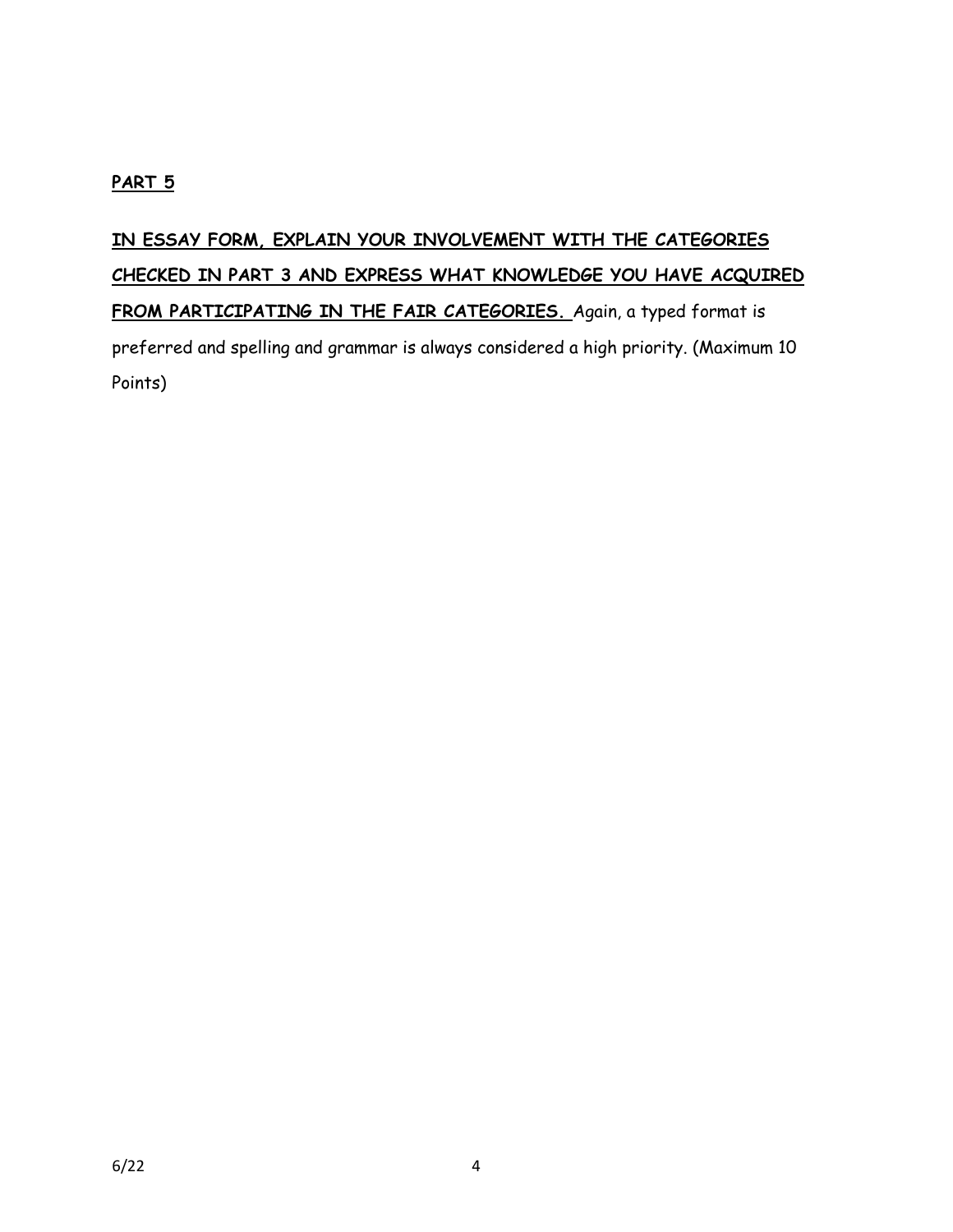## **PART 5**

**IN ESSAY FORM, EXPLAIN YOUR INVOLVEMENT WITH THE CATEGORIES CHECKED IN PART 3 AND EXPRESS WHAT KNOWLEDGE YOU HAVE ACQUIRED FROM PARTICIPATING IN THE FAIR CATEGORIES.** Again, a typed format is preferred and spelling and grammar is always considered a high priority. (Maximum 10 Points)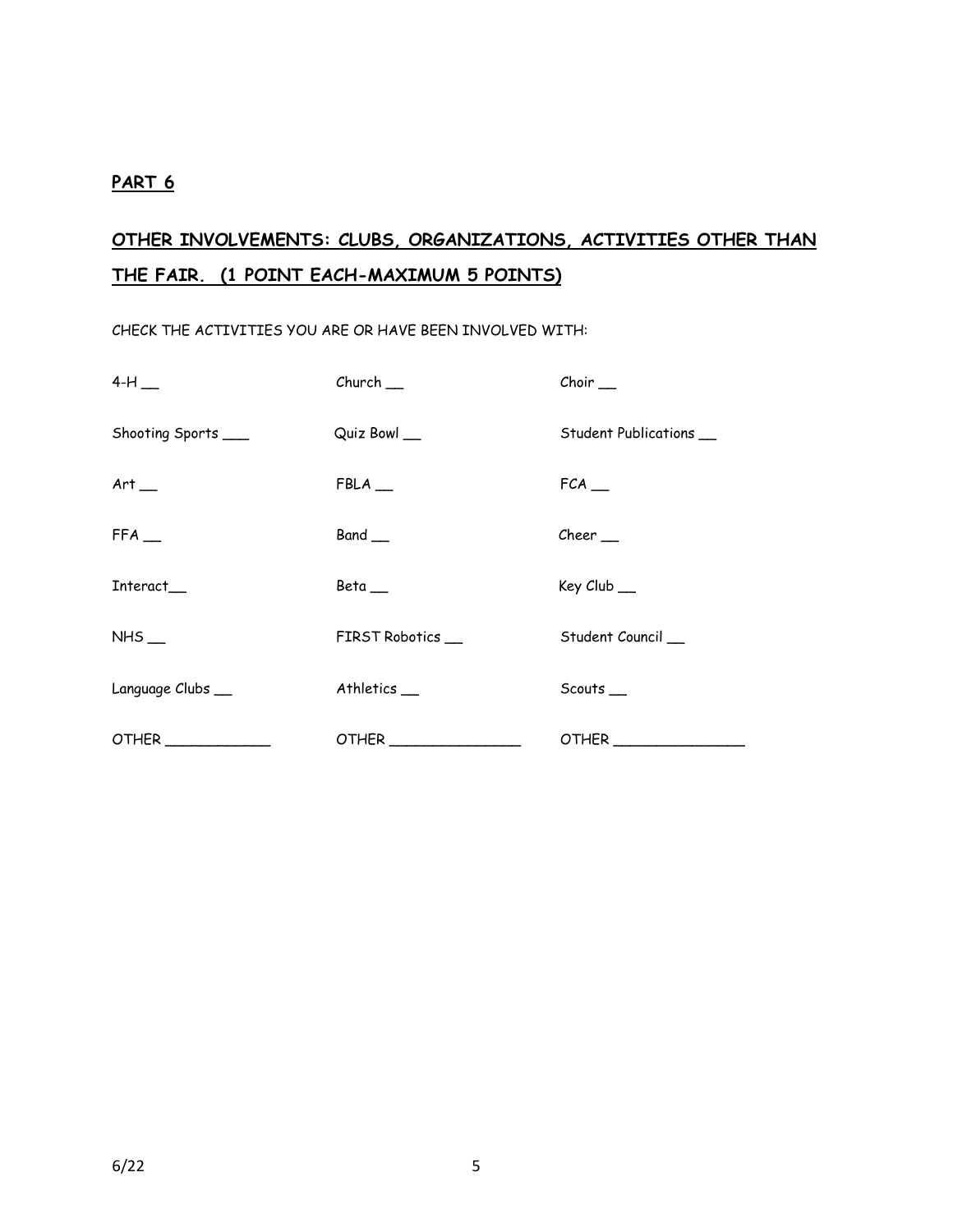#### **PART 6**

# **OTHER INVOLVEMENTS: CLUBS, ORGANIZATIONS, ACTIVITIES OTHER THAN THE FAIR. (1 POINT EACH-MAXIMUM 5 POINTS)**

CHECK THE ACTIVITIES YOU ARE OR HAVE BEEN INVOLVED WITH:

| $4-H$               | $Church$ <sub>—</sub> | $Choir \_$             |
|---------------------|-----------------------|------------------------|
| Shooting Sports ___ | Quiz Bowl __          | Student Publications _ |
| Art                 | $FBLA$ <sub>--</sub>  | $FCA$ <sub>—</sub>     |
| $FFA$ <sub>--</sub> | Band __               | $Cheer$ <sub>--</sub>  |
| Interact            | Beta                  | Key Club __            |
| $NHS$ <sub>—</sub>  | FIRST Robotics        | Student Council        |
| Language Clubs_     | Athletics_            | Scouts_                |
| OTHER               |                       |                        |